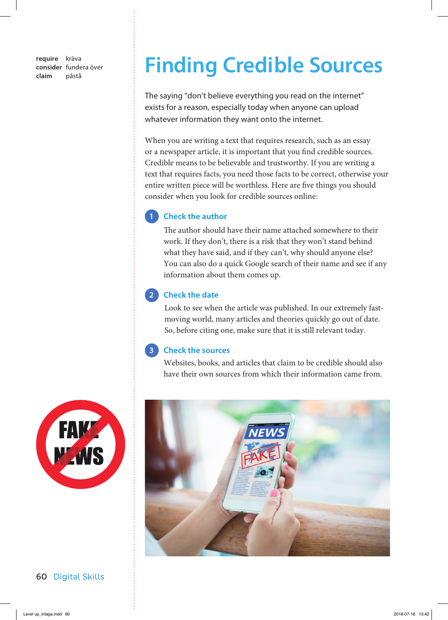**require** kräva **consider** fundera över

# **Consider fundera över Finding Credible Sources**

The saying "don't believe everything you read on the internet" exists for a reason, especially today when anyone can upload whatever information they want onto the internet.

When you are writing a text that requires research, such as an essay or a newspaper article, it is important that you find credible sources. Credible means to be believable and trustworthy. If you are writing a text that requires facts, you need those facts to be correct, otherwise your entire written piece will be worthless. Here are five things you should consider when you look for credible sources online :

## **1** Check the author

The author should have their name attached somewhere to their work. If they don't, there is a risk that they won't stand behind what they have said, and if they can't, why should anyone else? You can also do a quick Google search of their name and see if any information about them comes up.

## **2 Check the date**

 Look to see when the article was published. In our extremely fastmoving world, many articles and theories quickly go out of date. So, before citing one, make sure that it is still relevant today.

### **3 Check the sources**

 Websites, books, and articles that claim to be credible should also have their own sources from which their information came from.